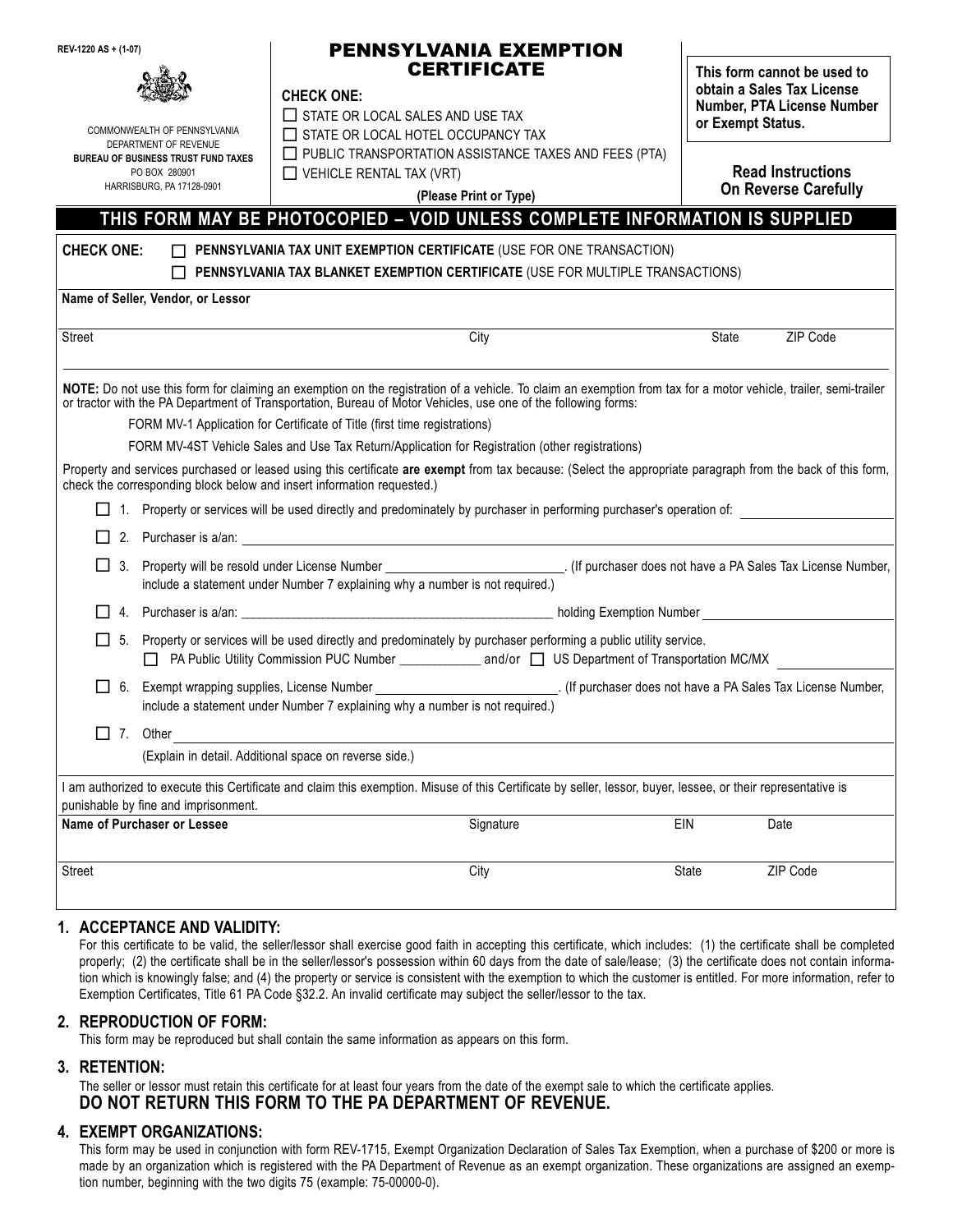| REV-1220 AS + (1-07)<br>COMMONWEALTH OF PENNSYLVANIA<br>DEPARTMENT OF REVENUE<br><b>BUREAU OF BUSINESS TRUST FUND TAXES</b><br>PO BOX 280901<br>HARRISBURG, PA 17128-0901 |                                                                     | <b>PENNSYLVANIA EXEMPTION</b><br><b>CERTIFICATE</b><br><b>CHECK ONE:</b><br>$\Box$ STATE OR LOCAL SALES AND USE TAX<br>$\Box$ STATE OR LOCAL HOTEL OCCUPANCY TAX<br>$\Box$ PUBLIC TRANSPORTATION ASSISTANCE TAXES AND FEES (PTA)<br>$\Box$ VEHICLE RENTAL TAX (VRT)<br>(Please Print or Type)                                                                                                                                                                                                                                                                                                                                                                                                                                                                                                                                       |       | This form cannot be used to<br>obtain a Sales Tax License<br>Number, PTA License Number<br>or Exempt Status.<br><b>Read Instructions</b><br><b>On Reverse Carefully</b> |  |
|---------------------------------------------------------------------------------------------------------------------------------------------------------------------------|---------------------------------------------------------------------|-------------------------------------------------------------------------------------------------------------------------------------------------------------------------------------------------------------------------------------------------------------------------------------------------------------------------------------------------------------------------------------------------------------------------------------------------------------------------------------------------------------------------------------------------------------------------------------------------------------------------------------------------------------------------------------------------------------------------------------------------------------------------------------------------------------------------------------|-------|-------------------------------------------------------------------------------------------------------------------------------------------------------------------------|--|
|                                                                                                                                                                           |                                                                     |                                                                                                                                                                                                                                                                                                                                                                                                                                                                                                                                                                                                                                                                                                                                                                                                                                     |       |                                                                                                                                                                         |  |
| <b>CHECK ONE:</b>                                                                                                                                                         |                                                                     | PENNSYLVANIA TAX UNIT EXEMPTION CERTIFICATE (USE FOR ONE TRANSACTION)<br>$\Box$ PENNSYLVANIA TAX BLANKET EXEMPTION CERTIFICATE (USE FOR MULTIPLE TRANSACTIONS)                                                                                                                                                                                                                                                                                                                                                                                                                                                                                                                                                                                                                                                                      |       |                                                                                                                                                                         |  |
|                                                                                                                                                                           | Name of Seller, Vendor, or Lessor                                   |                                                                                                                                                                                                                                                                                                                                                                                                                                                                                                                                                                                                                                                                                                                                                                                                                                     |       |                                                                                                                                                                         |  |
| <b>Street</b>                                                                                                                                                             |                                                                     | City                                                                                                                                                                                                                                                                                                                                                                                                                                                                                                                                                                                                                                                                                                                                                                                                                                | State | ZIP Code                                                                                                                                                                |  |
|                                                                                                                                                                           |                                                                     | NOTE: Do not use this form for claiming an exemption on the registration of a vehicle. To claim an exemption from tax for a motor vehicle, trailer, semi-trailer<br>or tractor with the PA Department of Transportation, Bureau of Motor Vehicles, use one of the following forms:<br>FORM MV-1 Application for Certificate of Title (first time registrations)<br>FORM MV-4ST Vehicle Sales and Use Tax Return/Application for Registration (other registrations)<br>Property and services purchased or leased using this certificate are exempt from tax because: (Select the appropriate paragraph from the back of this form,<br>check the corresponding block below and insert information requested.)<br>1. Property or services will be used directly and predominately by purchaser in performing purchaser's operation of: |       |                                                                                                                                                                         |  |
|                                                                                                                                                                           |                                                                     |                                                                                                                                                                                                                                                                                                                                                                                                                                                                                                                                                                                                                                                                                                                                                                                                                                     |       |                                                                                                                                                                         |  |
| $\perp$<br>3.                                                                                                                                                             |                                                                     | Property will be resold under License Number __________________________________. (If purchaser does not have a PA Sales Tax License Number,<br>include a statement under Number 7 explaining why a number is not required.)                                                                                                                                                                                                                                                                                                                                                                                                                                                                                                                                                                                                         |       |                                                                                                                                                                         |  |
| 4.                                                                                                                                                                        |                                                                     |                                                                                                                                                                                                                                                                                                                                                                                                                                                                                                                                                                                                                                                                                                                                                                                                                                     |       |                                                                                                                                                                         |  |
| $\Box$<br>-5.                                                                                                                                                             |                                                                     | Property or services will be used directly and predominately by purchaser performing a public utility service.<br>PA Public Utility Commission PUC Number _________________ and/or J US Department of Transportation MC/MX                                                                                                                                                                                                                                                                                                                                                                                                                                                                                                                                                                                                          |       |                                                                                                                                                                         |  |
| □ 6.                                                                                                                                                                      |                                                                     | include a statement under Number 7 explaining why a number is not required.)                                                                                                                                                                                                                                                                                                                                                                                                                                                                                                                                                                                                                                                                                                                                                        |       |                                                                                                                                                                         |  |
| $\Box$ 7. Other                                                                                                                                                           |                                                                     | (Explain in detail. Additional space on reverse side.)                                                                                                                                                                                                                                                                                                                                                                                                                                                                                                                                                                                                                                                                                                                                                                              |       |                                                                                                                                                                         |  |
|                                                                                                                                                                           |                                                                     | I am authorized to execute this Certificate and claim this exemption. Misuse of this Certificate by seller, lessor, buyer, lessee, or their representative is                                                                                                                                                                                                                                                                                                                                                                                                                                                                                                                                                                                                                                                                       |       |                                                                                                                                                                         |  |
|                                                                                                                                                                           | punishable by fine and imprisonment.<br>Name of Purchaser or Lessee | Signature                                                                                                                                                                                                                                                                                                                                                                                                                                                                                                                                                                                                                                                                                                                                                                                                                           | EIN   | Date                                                                                                                                                                    |  |
| <b>Street</b>                                                                                                                                                             |                                                                     | City                                                                                                                                                                                                                                                                                                                                                                                                                                                                                                                                                                                                                                                                                                                                                                                                                                | State | ZIP Code                                                                                                                                                                |  |
|                                                                                                                                                                           |                                                                     |                                                                                                                                                                                                                                                                                                                                                                                                                                                                                                                                                                                                                                                                                                                                                                                                                                     |       |                                                                                                                                                                         |  |

#### **1. ACCEPTANCE AND VALIDITY:**

For this certificate to be valid, the seller/lessor shall exercise good faith in accepting this certificate, which includes: (1) the certificate shall be completed properly; (2) the certificate shall be in the seller/lessor's possession within 60 days from the date of sale/lease; (3) the certificate does not contain information which is knowingly false; and (4) the property or service is consistent with the exemption to which the customer is entitled. For more information, refer to Exemption Certificates, Title 61 PA Code §32.2. An invalid certificate may subject the seller/lessor to the tax.

#### **2. REPRODUCTION OF FORM:**

This form may be reproduced but shall contain the same information as appears on this form.

### **3. RETENTION:**

The seller or lessor must retain this certificate for at least four years from the date of the exempt sale to which the certificate applies. **DO NOT RETURN THIS FORM TO THE PA DEPARTMENT OF REVENUE.**

### **4. EXEMPT ORGANIZATIONS:**

This form may be used in conjunction with form REV-1715, Exempt Organization Declaration of Sales Tax Exemption, when a purchase of \$200 or more is made by an organization which is registered with the PA Department of Revenue as an exempt organization. These organizations are assigned an exemption number, beginning with the two digits 75 (example: 75-00000-0).